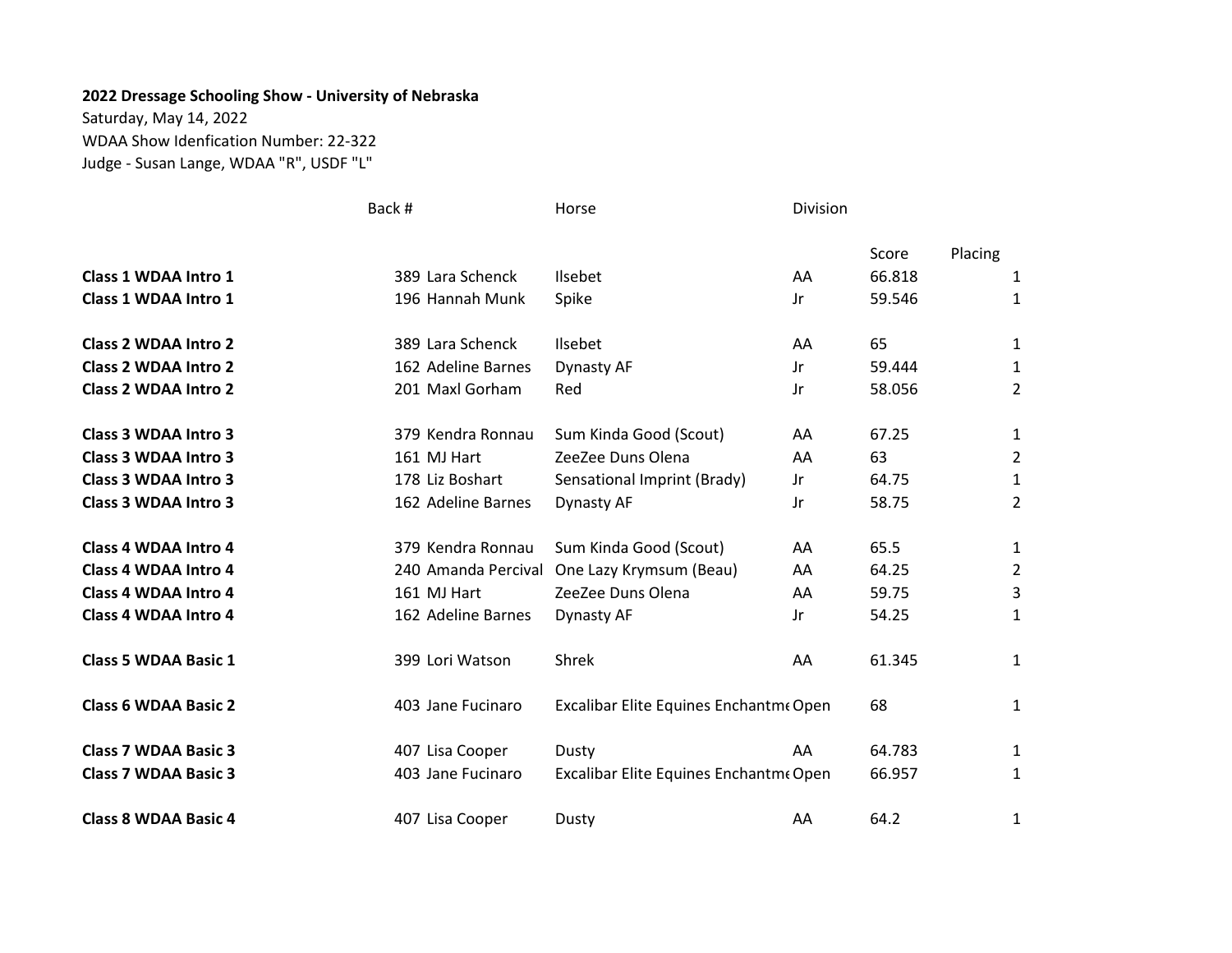## 2022 Dressage Schooling Show - University of Nebraska

Saturday, May 14, 2022 WDAA Show Idenfication Number: 22-322 Judge - Susan Lange, WDAA "R", USDF "L"

|                             | Back #              | Horse                                  | Division |        |         |                |
|-----------------------------|---------------------|----------------------------------------|----------|--------|---------|----------------|
|                             |                     |                                        |          | Score  | Placing |                |
| Class 1 WDAA Intro 1        | 389 Lara Schenck    | <b>Ilsebet</b>                         | AA       | 66.818 |         | 1              |
| <b>Class 1 WDAA Intro 1</b> | 196 Hannah Munk     | Spike                                  | Jr       | 59.546 |         | 1              |
| <b>Class 2 WDAA Intro 2</b> | 389 Lara Schenck    | Ilsebet                                | AA       | 65     |         | 1              |
| <b>Class 2 WDAA Intro 2</b> | 162 Adeline Barnes  | Dynasty AF                             | Jr       | 59.444 |         | 1              |
| <b>Class 2 WDAA Intro 2</b> | 201 Maxl Gorham     | Red                                    | Jr       | 58.056 |         | $\overline{2}$ |
| <b>Class 3 WDAA Intro 3</b> | 379 Kendra Ronnau   | Sum Kinda Good (Scout)                 | AA       | 67.25  |         | 1              |
| <b>Class 3 WDAA Intro 3</b> | 161 MJ Hart         | ZeeZee Duns Olena                      | AA       | 63     |         | 2              |
| Class 3 WDAA Intro 3        | 178 Liz Boshart     | Sensational Imprint (Brady)            | Jr       | 64.75  |         | 1              |
| <b>Class 3 WDAA Intro 3</b> | 162 Adeline Barnes  | Dynasty AF                             | Jr       | 58.75  |         | $\overline{2}$ |
| <b>Class 4 WDAA Intro 4</b> | 379 Kendra Ronnau   | Sum Kinda Good (Scout)                 | AA       | 65.5   |         | 1              |
| Class 4 WDAA Intro 4        | 240 Amanda Percival | One Lazy Krymsum (Beau)                | AA       | 64.25  |         | 2              |
| <b>Class 4 WDAA Intro 4</b> | 161 MJ Hart         | ZeeZee Duns Olena                      | AA       | 59.75  |         | 3              |
| <b>Class 4 WDAA Intro 4</b> | 162 Adeline Barnes  | Dynasty AF                             | Jr       | 54.25  |         | 1              |
| <b>Class 5 WDAA Basic 1</b> | 399 Lori Watson     | Shrek                                  | AA       | 61.345 |         | 1              |
| <b>Class 6 WDAA Basic 2</b> | 403 Jane Fucinaro   | Excalibar Elite Equines Enchantme Open |          | 68     |         | 1              |
| <b>Class 7 WDAA Basic 3</b> | 407 Lisa Cooper     | Dusty                                  | AA       | 64.783 |         | 1              |
| <b>Class 7 WDAA Basic 3</b> | 403 Jane Fucinaro   | Excalibar Elite Equines Enchantme Open |          | 66.957 |         | 1              |
| <b>Class 8 WDAA Basic 4</b> | 407 Lisa Cooper     | Dusty                                  | AA       | 64.2   |         | 1              |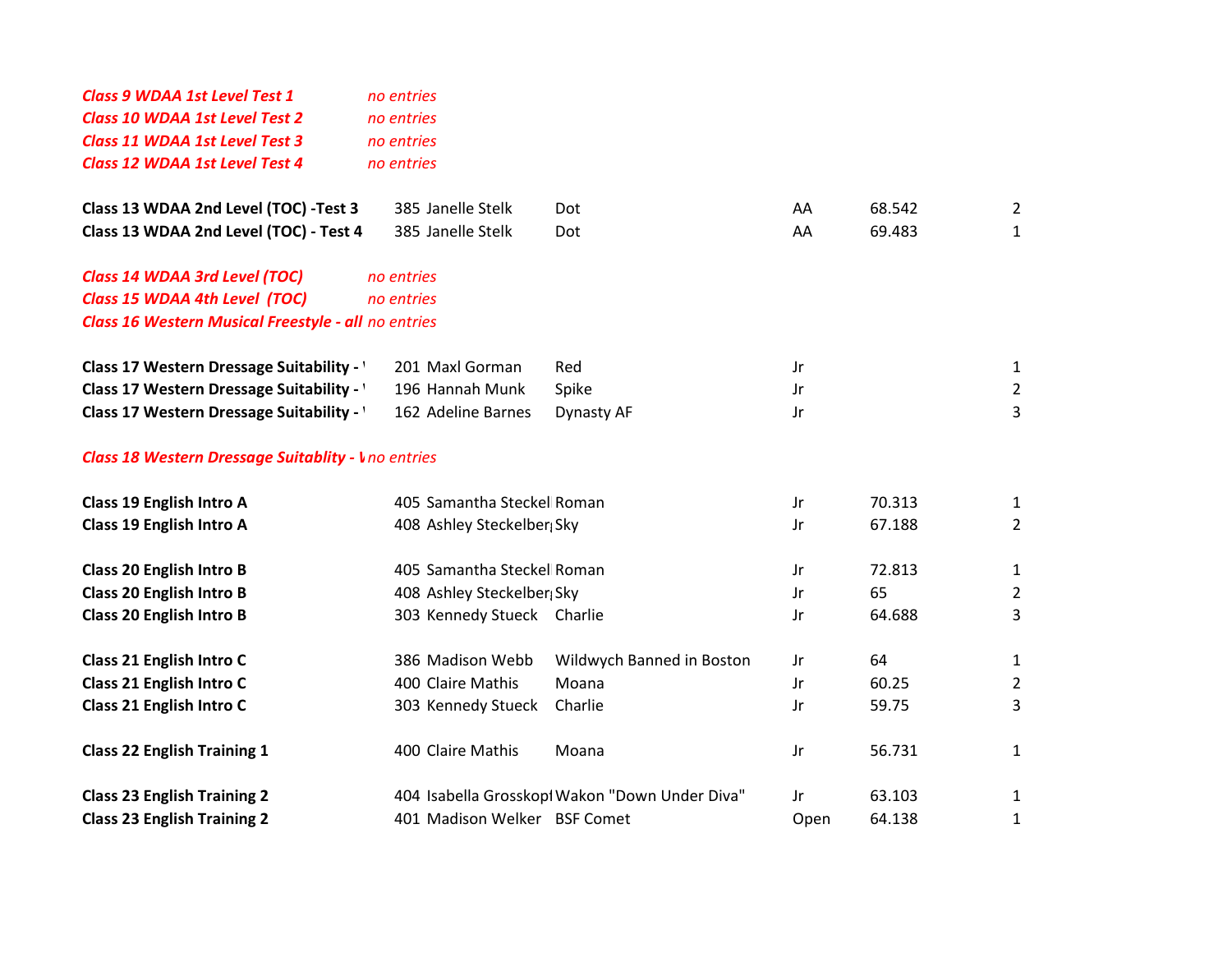| <b>Class 9 WDAA 1st Level Test 1</b><br><b>Class 10 WDAA 1st Level Test 2</b><br>Class 11 WDAA 1st Level Test 3 | no entries<br>no entries<br>no entries |                                                |      |        |                |
|-----------------------------------------------------------------------------------------------------------------|----------------------------------------|------------------------------------------------|------|--------|----------------|
| Class 12 WDAA 1st Level Test 4                                                                                  | no entries                             |                                                |      |        |                |
|                                                                                                                 |                                        |                                                |      |        |                |
| Class 13 WDAA 2nd Level (TOC) -Test 3                                                                           | 385 Janelle Stelk                      | Dot                                            | AA   | 68.542 | $\overline{2}$ |
| Class 13 WDAA 2nd Level (TOC) - Test 4                                                                          | 385 Janelle Stelk                      | Dot                                            | AA   | 69.483 | $\mathbf{1}$   |
| Class 14 WDAA 3rd Level (TOC)                                                                                   | no entries                             |                                                |      |        |                |
| Class 15 WDAA 4th Level (TOC)                                                                                   | no entries                             |                                                |      |        |                |
| Class 16 Western Musical Freestyle - all no entries                                                             |                                        |                                                |      |        |                |
|                                                                                                                 |                                        |                                                |      |        |                |
| Class 17 Western Dressage Suitability -                                                                         | 201 Maxl Gorman                        | Red                                            | Jr   |        | $\mathbf{1}$   |
| Class 17 Western Dressage Suitability - '                                                                       | 196 Hannah Munk                        | Spike                                          | Jr   |        | $\overline{2}$ |
| Class 17 Western Dressage Suitability - '                                                                       | 162 Adeline Barnes                     | Dynasty AF                                     | Jr   |        | 3              |
| <b>Class 18 Western Dressage Suitablity - I</b> no entries                                                      |                                        |                                                |      |        |                |
| <b>Class 19 English Intro A</b>                                                                                 | 405 Samantha Steckel Roman             |                                                | Jr   | 70.313 | 1              |
| <b>Class 19 English Intro A</b>                                                                                 | 408 Ashley Steckelber Sky              |                                                | Jr   | 67.188 | 2              |
| <b>Class 20 English Intro B</b>                                                                                 | 405 Samantha Steckel Roman             |                                                | Jr   | 72.813 | $\mathbf{1}$   |
| <b>Class 20 English Intro B</b>                                                                                 | 408 Ashley Steckelber Sky              |                                                | Jr   | 65     | $\overline{2}$ |
| <b>Class 20 English Intro B</b>                                                                                 | 303 Kennedy Stueck Charlie             |                                                | Jr   | 64.688 | 3              |
| Class 21 English Intro C                                                                                        | 386 Madison Webb                       | Wildwych Banned in Boston                      | Jr   | 64     | 1              |
| Class 21 English Intro C                                                                                        | 400 Claire Mathis                      | Moana                                          | Jr   | 60.25  | $\overline{2}$ |
| Class 21 English Intro C                                                                                        | 303 Kennedy Stueck                     | Charlie                                        | Jr   | 59.75  | 3              |
| <b>Class 22 English Training 1</b>                                                                              | 400 Claire Mathis                      | Moana                                          | Jr   | 56.731 | $\mathbf{1}$   |
| <b>Class 23 English Training 2</b>                                                                              |                                        | 404 Isabella Grosskopl Wakon "Down Under Diva" | Jr   | 63.103 | $\mathbf{1}$   |
| <b>Class 23 English Training 2</b>                                                                              | 401 Madison Welker BSF Comet           |                                                | Open | 64.138 | 1              |